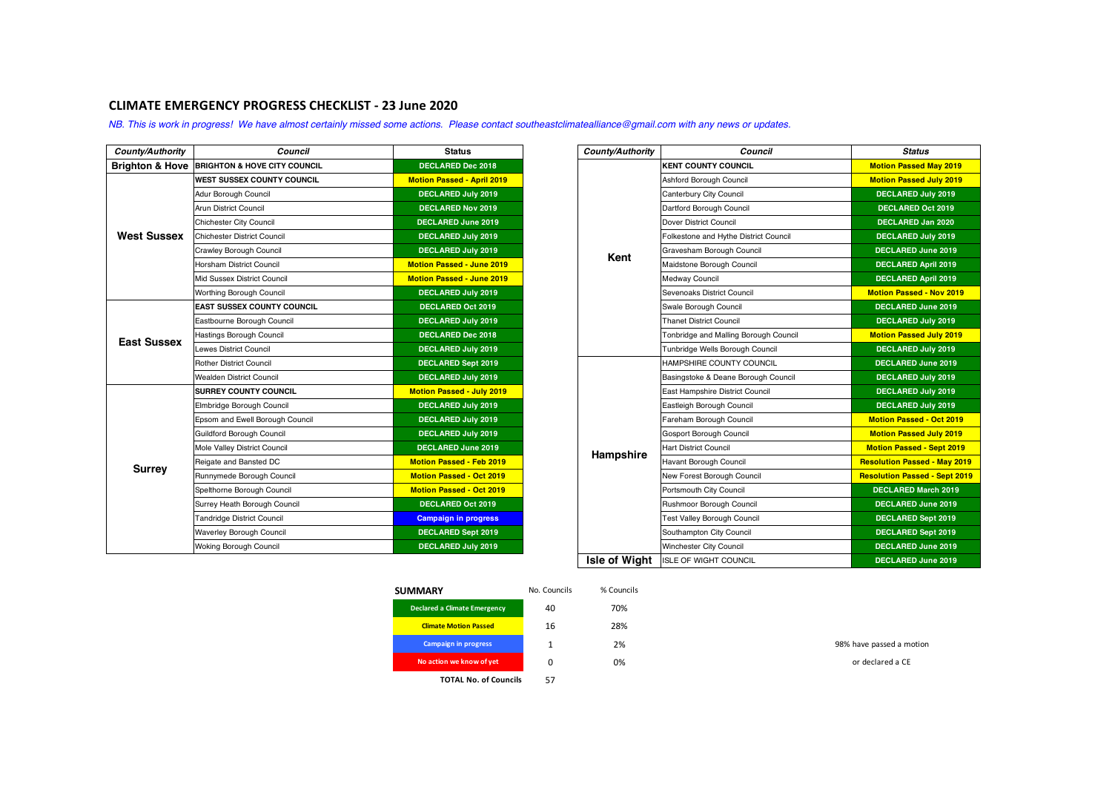## **CLIMATE EMERGENCY PROGRESS CHECKLIST - 23 June 2020**

*NB. This is work in progress! We have almost certainly missed some actions. Please contact southeastclimatealliance@gmail.com with any news or updates.*

| County/Authority   | Council                                      | <b>Status</b>                     | County/Authority | Council                               | <b>Status</b>                     |
|--------------------|----------------------------------------------|-----------------------------------|------------------|---------------------------------------|-----------------------------------|
|                    | Brighton & Hove BRIGHTON & HOVE CITY COUNCIL | <b>DECLARED Dec 2018</b>          |                  | <b>KENT COUNTY COUNCIL</b>            | <b>Motion Passed May 2019</b>     |
| <b>West Sussex</b> | <b>WEST SUSSEX COUNTY COUNCIL</b>            | <b>Motion Passed - April 2019</b> |                  | Ashford Borough Council               | <b>Motion Passed July 2019</b>    |
|                    | Adur Borough Council                         | <b>DECLARED July 2019</b>         |                  | Canterbury City Council               | <b>DECLARED July 2019</b>         |
|                    | <b>Arun District Council</b>                 | <b>DECLARED Nov 2019</b>          |                  | Dartford Borough Council              | <b>DECLARED Oct 2019</b>          |
|                    | <b>Chichester City Council</b>               | <b>DECLARED June 2019</b>         |                  | Dover District Council                | DECLARED Jan 2020                 |
|                    | Chichester District Council                  | <b>DECLARED July 2019</b>         |                  | Folkestone and Hythe District Council | DECLARED July 2019                |
|                    | Crawley Borough Council                      | <b>DECLARED July 2019</b>         | Kent             | Gravesham Borough Council             | <b>DECLARED June 2019</b>         |
|                    | Horsham District Council                     | <b>Motion Passed - June 2019</b>  |                  | Maidstone Borough Council             | <b>DECLARED April 2019</b>        |
|                    | Mid Sussex District Council                  | <b>Motion Passed - June 2019</b>  |                  | <b>Medway Council</b>                 | <b>DECLARED April 2019</b>        |
|                    | Worthing Borough Council                     | <b>DECLARED July 2019</b>         |                  | Sevenoaks District Council            | <b>Motion Passed - Nov 2019</b>   |
| <b>East Sussex</b> | <b>EAST SUSSEX COUNTY COUNCIL</b>            | DECLARED Oct 2019                 |                  | Swale Borough Council                 | DECLARED June 2019                |
|                    | Eastbourne Borough Council                   | <b>DECLARED July 2019</b>         |                  | <b>Thanet District Council</b>        | DECLARED July 2019                |
|                    | Hastings Borough Council                     | <b>DECLARED Dec 2018</b>          |                  | Tonbridge and Malling Borough Council | <b>Motion Passed July 2019</b>    |
|                    | Lewes District Council                       | <b>DECLARED July 2019</b>         |                  | Tunbridge Wells Borough Council       | <b>DECLARED July 2019</b>         |
|                    | <b>Rother District Council</b>               | <b>DECLARED Sept 2019</b>         |                  | HAMPSHIRE COUNTY COUNCIL              | <b>DECLARED June 2019</b>         |
|                    | <b>Wealden District Council</b>              | DECLARED July 2019                |                  | Basingstoke & Deane Borough Council   | <b>DECLARED July 2019</b>         |
|                    | <b>SURREY COUNTY COUNCIL</b>                 | <b>Motion Passed - July 2019</b>  |                  | East Hampshire District Council       | <b>DECLARED July 2019</b>         |
|                    | Elmbridge Borough Council                    | <b>DECLARED July 2019</b>         |                  | Eastleigh Borough Council             | <b>DECLARED July 2019</b>         |
|                    | Epsom and Ewell Borough Council              | <b>DECLARED July 2019</b>         |                  | Fareham Borough Council               | <b>Motion Passed - Oct 2019</b>   |
|                    | Guildford Borough Council                    | <b>DECLARED July 2019</b>         |                  | <b>Gosport Borough Council</b>        | <b>Motion Passed July 2019</b>    |
|                    | Mole Valley District Council                 | <b>DECLARED June 2019</b>         | Hampshire        | <b>Hart District Council</b>          | <b>Motion Passed - Sept 201</b>   |
| <b>Surrey</b>      | Reigate and Bansted DC                       | <b>Motion Passed - Feb 2019</b>   |                  | <b>Havant Borough Council</b>         | <b>Resolution Passed - May 20</b> |
|                    | Runnymede Borough Council                    | <b>Motion Passed - Oct 2019</b>   |                  | New Forest Borough Council            | <b>Resolution Passed - Sept 2</b> |
|                    | Spelthorne Borough Council                   | <b>Motion Passed - Oct 2019</b>   |                  | Portsmouth City Council               | <b>DECLARED March 2019</b>        |
|                    | Surrey Heath Borough Council                 | DECLARED Oct 2019                 |                  | Rushmoor Borough Council              | <b>DECLARED June 2019</b>         |
|                    | <b>Tandridge District Council</b>            | <b>Campaign in progress</b>       |                  | Test Valley Borough Council           | DECLARED Sept 2019                |
|                    | <b>Waverley Borough Council</b>              | <b>DECLARED Sept 2019</b>         |                  | Southampton City Council              | <b>DECLARED Sept 2019</b>         |
|                    | <b>Woking Borough Council</b>                | <b>DECLARED July 2019</b>         |                  | Winchester City Council               | <b>DECLARED June 2019</b>         |
|                    |                                              |                                   | .                |                                       |                                   |

| Council                                 | <b>Status</b>                     | County/Authority     | Council                               | <b>Status</b>                        |
|-----------------------------------------|-----------------------------------|----------------------|---------------------------------------|--------------------------------------|
| <b>BRIGHTON &amp; HOVE CITY COUNCIL</b> | <b>DECLARED Dec 2018</b>          |                      | <b>KENT COUNTY COUNCIL</b>            | <b>Motion Passed May 2019</b>        |
| <b>WEST SUSSEX COUNTY COUNCIL</b>       | <b>Motion Passed - April 2019</b> |                      | Ashford Borough Council               | <b>Motion Passed July 2019</b>       |
| Adur Borough Council                    | <b>DECLARED July 2019</b>         |                      | Canterbury City Council               | <b>DECLARED July 2019</b>            |
| Arun District Council                   | <b>DECLARED Nov 2019</b>          |                      | Dartford Borough Council              | <b>DECLARED Oct 2019</b>             |
| <b>Chichester City Council</b>          | <b>DECLARED June 2019</b>         |                      | Dover District Council                | <b>DECLARED Jan 2020</b>             |
| Chichester District Council             | <b>DECLARED July 2019</b>         |                      | Folkestone and Hythe District Council | <b>DECLARED July 2019</b>            |
| Crawley Borough Council                 | <b>DECLARED July 2019</b>         | Kent                 | Gravesham Borough Council             | <b>DECLARED June 2019</b>            |
| Horsham District Council                | <b>Motion Passed - June 2019</b>  |                      | Maidstone Borough Council             | <b>DECLARED April 2019</b>           |
| Mid Sussex District Council             | <b>Motion Passed - June 2019</b>  |                      | <b>Medway Council</b>                 | <b>DECLARED April 2019</b>           |
| Worthing Borough Council                | <b>DECLARED July 2019</b>         |                      | Sevenoaks District Council            | <b>Motion Passed - Nov 2019</b>      |
| <b>EAST SUSSEX COUNTY COUNCIL</b>       | <b>DECLARED Oct 2019</b>          |                      | Swale Borough Council                 | <b>DECLARED June 2019</b>            |
| Eastbourne Borough Council              | <b>DECLARED July 2019</b>         |                      | <b>Thanet District Council</b>        | <b>DECLARED July 2019</b>            |
| Hastings Borough Council                | <b>DECLARED Dec 2018</b>          |                      | Tonbridge and Malling Borough Council | <b>Motion Passed July 2019</b>       |
| Lewes District Council                  | <b>DECLARED July 2019</b>         |                      | Tunbridge Wells Borough Council       | <b>DECLARED July 2019</b>            |
| <b>Rother District Council</b>          | DECLARED Sept 2019                |                      | HAMPSHIRE COUNTY COUNCIL              | <b>DECLARED June 2019</b>            |
| Wealden District Council                | <b>DECLARED July 2019</b>         |                      | Basingstoke & Deane Borough Council   | <b>DECLARED July 2019</b>            |
| <b>SURREY COUNTY COUNCIL</b>            | <b>Motion Passed - July 2019</b>  |                      | East Hampshire District Council       | <b>DECLARED July 2019</b>            |
| Elmbridge Borough Council               | <b>DECLARED July 2019</b>         |                      | Eastleigh Borough Council             | <b>DECLARED July 2019</b>            |
| Epsom and Ewell Borough Council         | <b>DECLARED July 2019</b>         |                      | Fareham Borough Council               | <b>Motion Passed - Oct 2019</b>      |
| Guildford Borough Council               | <b>DECLARED July 2019</b>         |                      | <b>Gosport Borough Council</b>        | <b>Motion Passed July 2019</b>       |
| Mole Valley District Council            | <b>DECLARED June 2019</b>         | Hampshire            | <b>Hart District Council</b>          | <b>Motion Passed - Sept 2019</b>     |
| Reigate and Bansted DC                  | <b>Motion Passed - Feb 2019</b>   |                      | <b>Havant Borough Council</b>         | <b>Resolution Passed - May 2019</b>  |
| Runnymede Borough Council               | <b>Motion Passed - Oct 2019</b>   |                      | New Forest Borough Council            | <b>Resolution Passed - Sept 2019</b> |
| Spelthorne Borough Council              | <b>Motion Passed - Oct 2019</b>   |                      | Portsmouth City Council               | <b>DECLARED March 2019</b>           |
| Surrey Heath Borough Council            | <b>DECLARED Oct 2019</b>          |                      | Rushmoor Borough Council              | <b>DECLARED June 2019</b>            |
| <b>Tandridge District Council</b>       | <b>Campaign in progress</b>       |                      | Test Valley Borough Council           | <b>DECLARED Sept 2019</b>            |
| <b>Waverley Borough Council</b>         | DECLARED Sept 2019                |                      | Southampton City Council              | <b>DECLARED Sept 2019</b>            |
| Woking Borough Council                  | <b>DECLARED July 2019</b>         |                      | Winchester City Council               | <b>DECLARED June 2019</b>            |
|                                         |                                   | <b>Isle of Wight</b> | <b>ISLE OF WIGHT COUNCIL</b>          | <b>DECLARED June 2019</b>            |

| <b>SUMMARY</b>               | No. Councils | % Councils |                          |
|------------------------------|--------------|------------|--------------------------|
| Declared a Climate Emergency | 40           | 70%        |                          |
| <b>Climate Motion Passed</b> | 16           | 28%        |                          |
| <b>Campaign in progress</b>  |              | 2%         | 98% have passed a motion |
| No action we know of yet     |              | 0%         | or declared a CE         |

**TOTAL No. of Councils** 57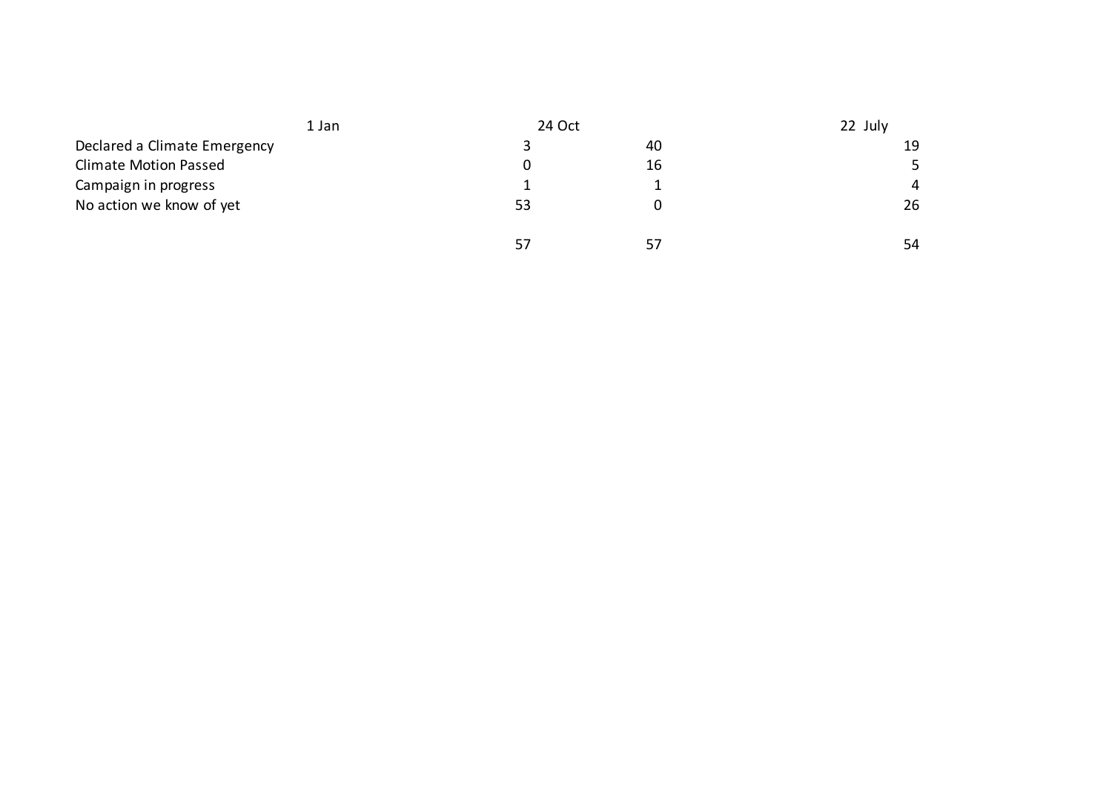|                              | 1 Jan |    | 24 Oct |                |
|------------------------------|-------|----|--------|----------------|
| Declared a Climate Emergency |       |    | 40     | 19             |
| <b>Climate Motion Passed</b> |       | O. | 16     | 5              |
| Campaign in progress         |       |    |        | $\overline{4}$ |
| No action we know of yet     |       | 53 |        | 26             |
|                              |       | 57 | 57     | 54             |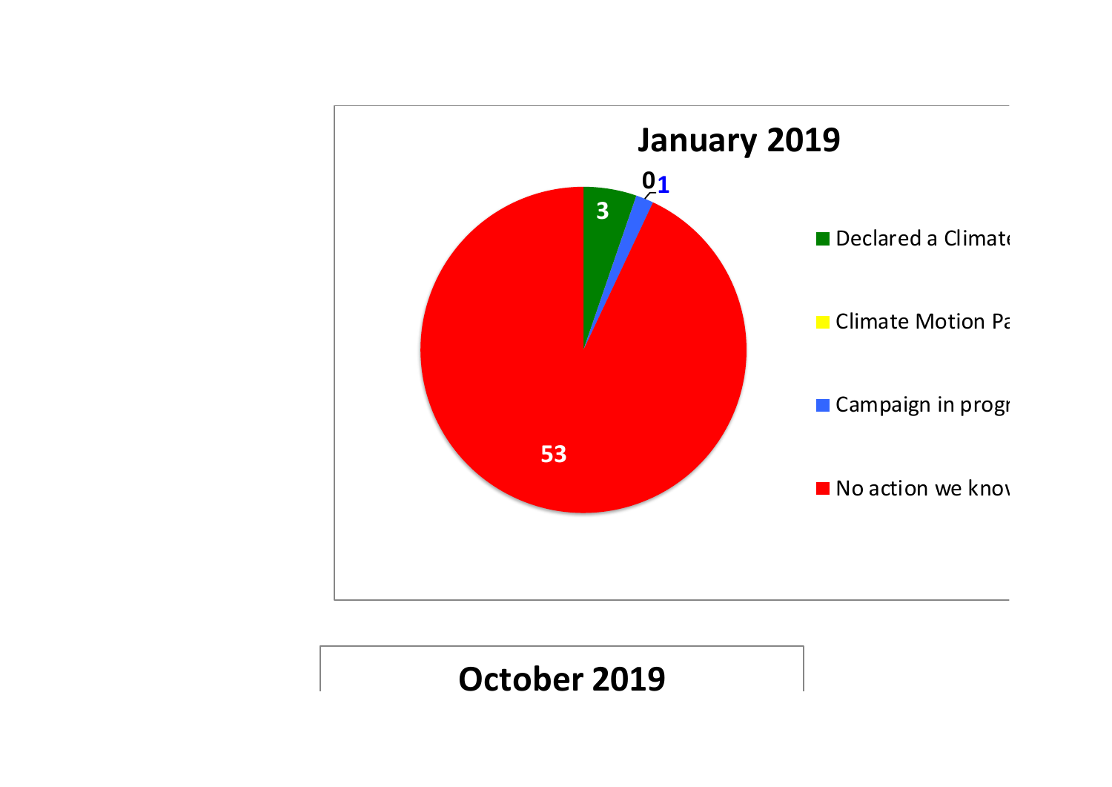

## **October 2019**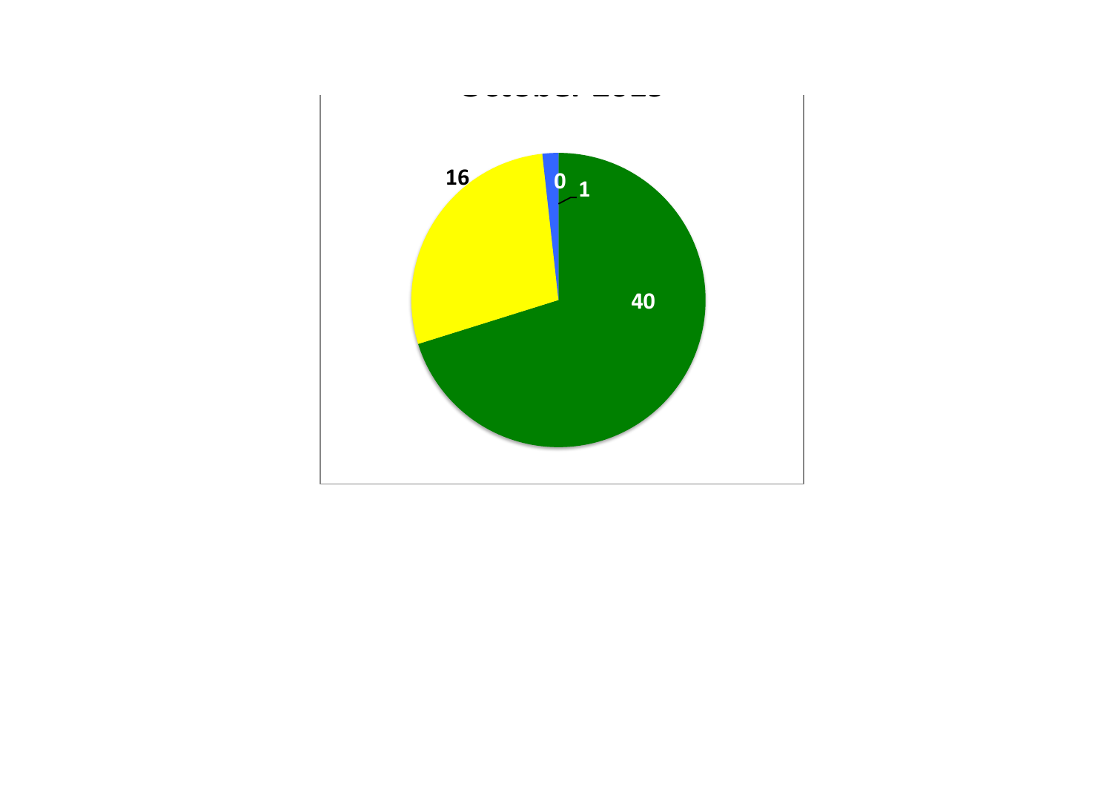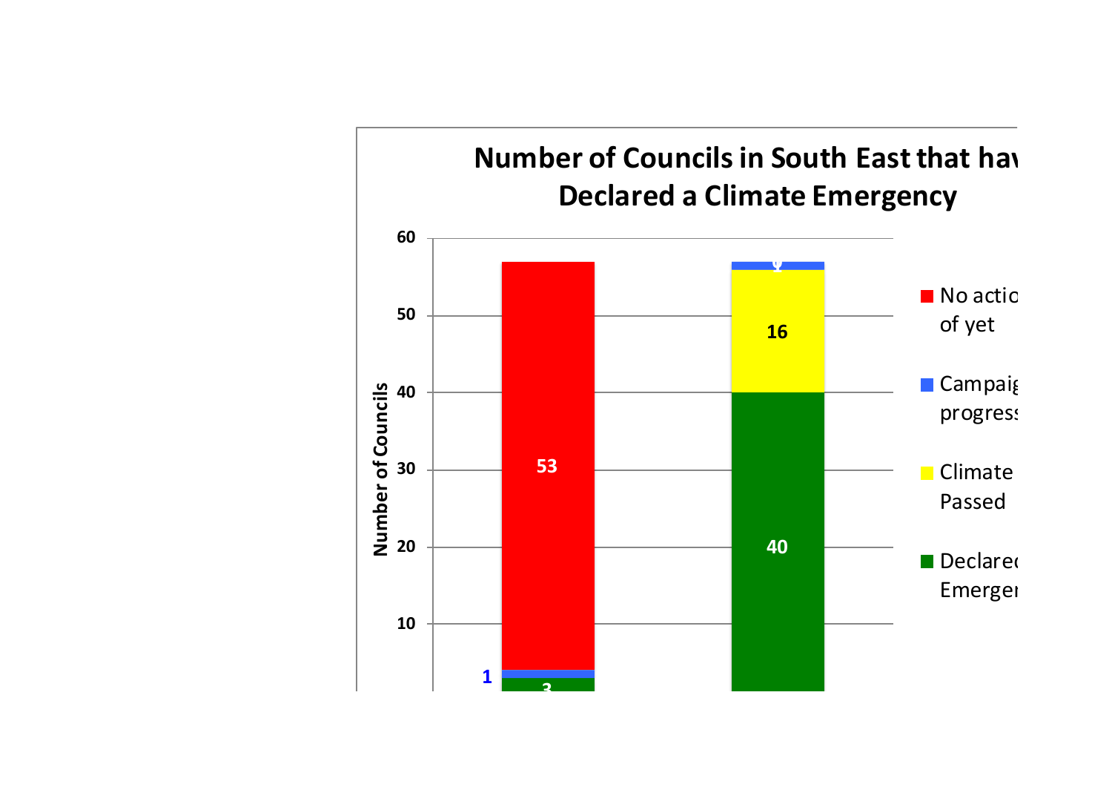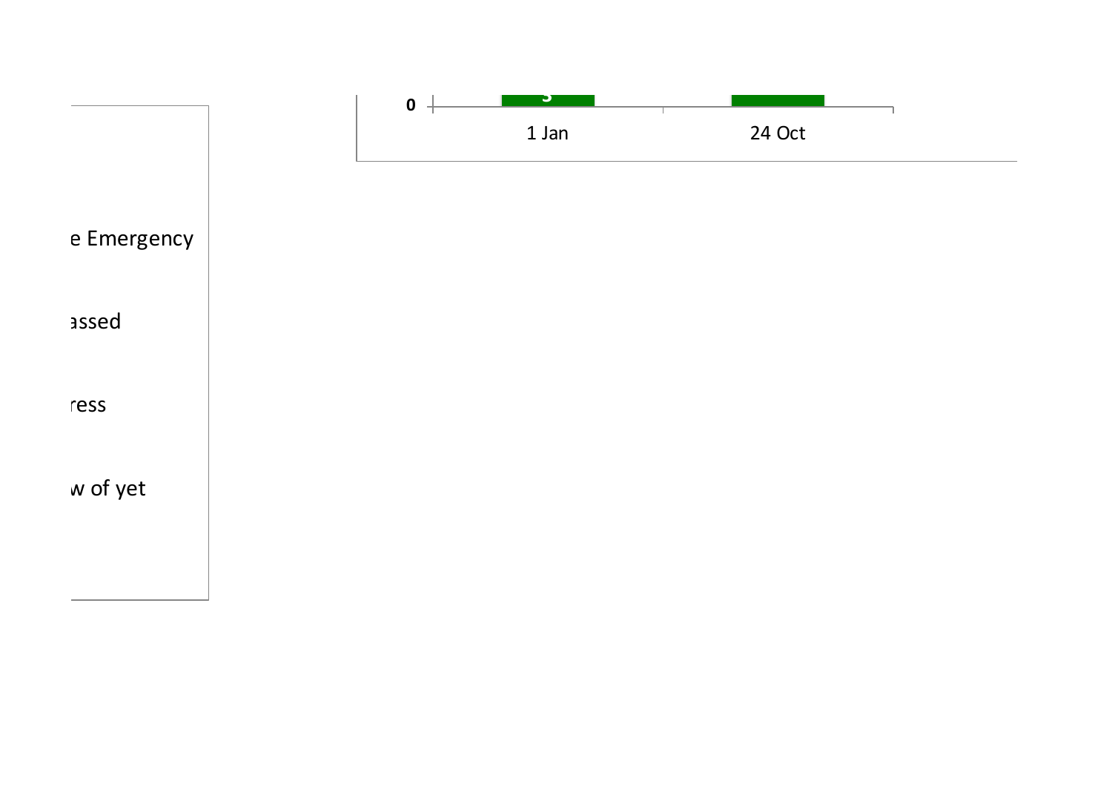